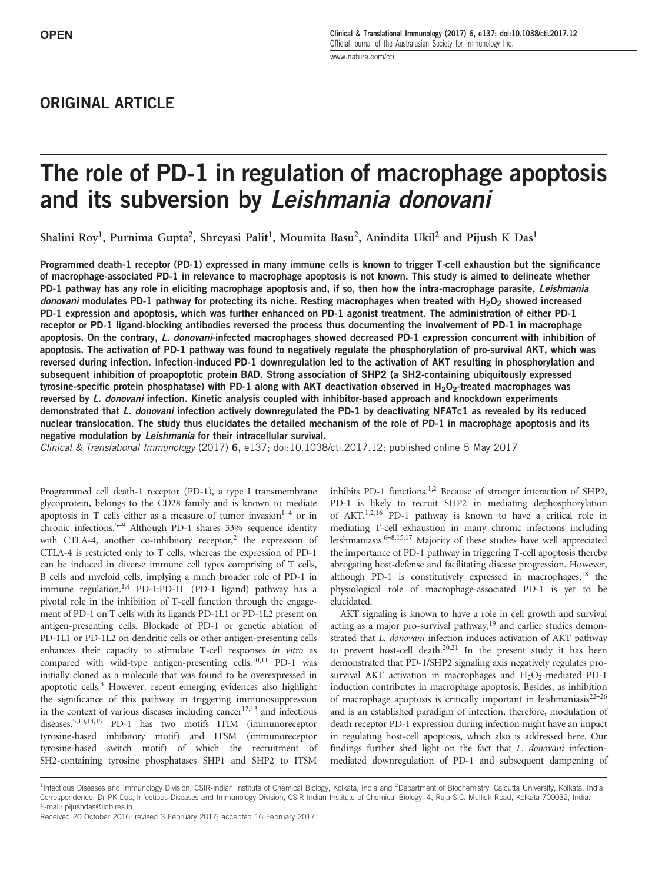## ORIGINAL ARTICLE

# The role of PD-1 in regulation of macrophage apoptosis and its subversion by Leishmania donovani

Shalini Roy<sup>1</sup>, Purnima Gupta<sup>2</sup>, Shreyasi Palit<sup>1</sup>, Moumita Basu<sup>2</sup>, Anindita Ukil<sup>2</sup> and Pijush K Das<sup>1</sup>

Programmed death-1 receptor (PD-1) expressed in many immune cells is known to trigger T-cell exhaustion but the significance of macrophage-associated PD-1 in relevance to macrophage apoptosis is not known. This study is aimed to delineate whether PD-1 pathway has any role in eliciting macrophage apoptosis and, if so, then how the intra-macrophage parasite, Leishmania donovani modulates PD-1 pathway for protecting its niche. Resting macrophages when treated with H<sub>2</sub>O<sub>2</sub> showed increased PD-1 expression and apoptosis, which was further enhanced on PD-1 agonist treatment. The administration of either PD-1 receptor or PD-1 ligand-blocking antibodies reversed the process thus documenting the involvement of PD-1 in macrophage apoptosis. On the contrary, L. donovani-infected macrophages showed decreased PD-1 expression concurrent with inhibition of apoptosis. The activation of PD-1 pathway was found to negatively regulate the phosphorylation of pro-survival AKT, which was reversed during infection. Infection-induced PD-1 downregulation led to the activation of AKT resulting in phosphorylation and subsequent inhibition of proapoptotic protein BAD. Strong association of SHP2 (a SH2-containing ubiquitously expressed tyrosine-specific protein phosphatase) with PD-1 along with AKT deactivation observed in  $H_2O_2$ -treated macrophages was reversed by L. donovani infection. Kinetic analysis coupled with inhibitor-based approach and knockdown experiments demonstrated that L. donovani infection actively downregulated the PD-1 by deactivating NFATc1 as revealed by its reduced nuclear translocation. The study thus elucidates the detailed mechanism of the role of PD-1 in macrophage apoptosis and its negative modulation by Leishmania for their intracellular survival.

Clinical & Translational Immunology (2017) 6, e137; doi:10.1038/cti.2017.12; published online 5 May 2017

Programmed cell death-1 receptor (PD-1), a type I transmembrane glycoprotein, belongs to the CD28 family and is known to mediate apoptosis in T cells either as a measure of tumor invasion $1-4$  or in chronic infections.<sup>5–9</sup> Although PD-1 shares 33% sequence identity with CTLA-4, another co-inhibitory receptor,<sup>2</sup> the expression of CTLA-4 is restricted only to T cells, whereas the expression of PD-1 can be induced in diverse immune cell types comprising of T cells, B cells and myeloid cells, implying a much broader role of PD-1 in immune regulation.<sup>1,4</sup> PD-1:PD-1L (PD-1 ligand) pathway has a pivotal role in the inhibition of T-cell function through the engagement of PD-1 on T cells with its ligands PD-1L1 or PD-1L2 present on antigen-presenting cells. Blockade of PD-1 or genetic ablation of PD-1L1 or PD-1L2 on dendritic cells or other antigen-presenting cells enhances their capacity to stimulate T-cell responses *in vitro* as compared with wild-type antigen-presenting cells. $^{10,11}$  PD-1 was initially cloned as a molecule that was found to be overexpressed in apoptotic cells.<sup>3</sup> However, recent emerging evidences also highlight the significance of this pathway in triggering immunosuppression in the context of various diseases including cancer<sup>12,13</sup> and infectious diseases.5,10,14,15 PD-1 has two motifs ITIM (immunoreceptor tyrosine-based inhibitory motif) and ITSM (immunoreceptor tyrosine-based switch motif) of which the recruitment of SH2-containing tyrosine phosphatases SHP1 and SHP2 to ITSM

inhibits PD-1 functions.1,2 Because of stronger interaction of SHP2, PD-1 is likely to recruit SHP2 in mediating dephosphorylation of AKT.1,2,16 PD-1 pathway is known to have a critical role in mediating T-cell exhaustion in many chronic infections including leishmaniasis.6–8,15,17 Majority of these studies have well appreciated the importance of PD-1 pathway in triggering T-cell apoptosis thereby abrogating host-defense and facilitating disease progression. However, although PD-1 is constitutively expressed in macrophages, $18$  the physiological role of macrophage-associated PD-1 is yet to be elucidated.

AKT signaling is known to have a role in cell growth and survival acting as a major pro-survival pathway,<sup>19</sup> and earlier studies demonstrated that *L. donovani* infection induces activation of AKT pathway to prevent host-cell death.20,21 In the present study it has been demonstrated that PD-1/SHP2 signaling axis negatively regulates prosurvival AKT activation in macrophages and  $H_2O_2$ -mediated PD-1 induction contributes in macrophage apoptosis. Besides, as inhibition of macrophage apoptosis is critically important in leishmaniasis $2^{2-26}$ and is an established paradigm of infection, therefore, modulation of death receptor PD-1 expression during infection might have an impact in regulating host-cell apoptosis, which also is addressed here. Our findings further shed light on the fact that *L. donovani* infectionmediated downregulation of PD-1 and subsequent dampening of

<sup>&</sup>lt;sup>1</sup>Infectious Diseases and Immunology Division, CSIR-Indian Institute of Chemical Biology, Kolkata, India and <sup>2</sup>Department of Biochemistry, Calcutta University, Kolkata, India Correspondence: Dr PK Das, Infectious Diseases and Immunology Division, CSIR-Indian Institute of Chemical Biology, 4, Raja S.C. Mullick Road, Kolkata 700032, India. E-mail: pijushdas@iicb.res.in

Received 20 October 2016; revised 3 February 2017; accepted 16 February 2017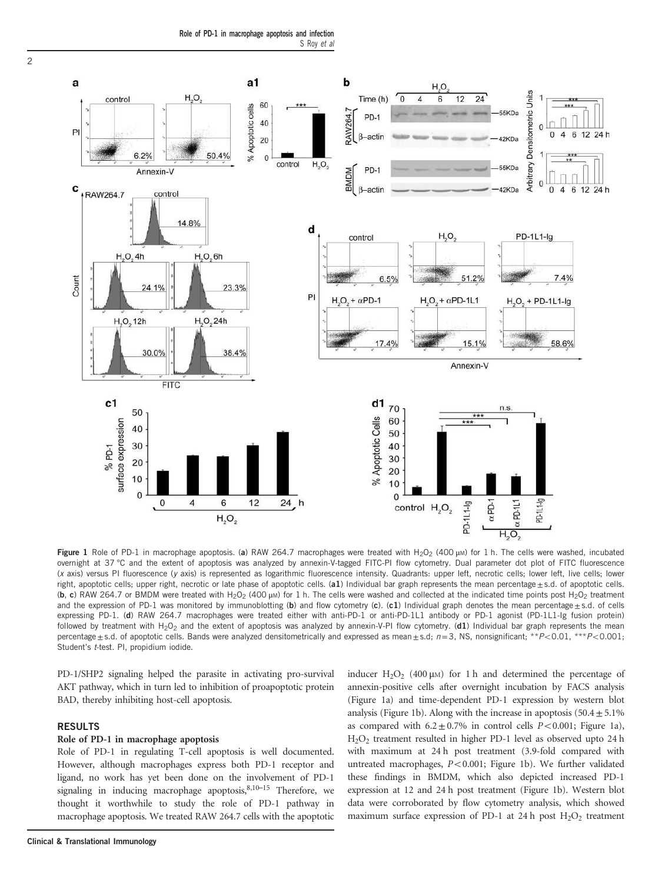

Figure 1 Role of PD-1 in macrophage apoptosis. (a) RAW 264.7 macrophages were treated with H<sub>2</sub>O<sub>2</sub> (400 µM) for 1 h. The cells were washed, incubated overnight at 37 °C and the extent of apoptosis was analyzed by annexin-V-tagged FITC-PI flow cytometry. Dual parameter dot plot of FITC fluorescence (x axis) versus PI fluorescence (y axis) is represented as logarithmic fluorescence intensity. Quadrants: upper left, necrotic cells; lower left, live cells; lower right, apoptotic cells; upper right, necrotic or late phase of apoptotic cells.  $(a1)$  Individual bar graph represents the mean percentage $\pm$ s.d. of apoptotic cells. (b, c) RAW 264.7 or BMDM were treated with H<sub>2</sub>O<sub>2</sub> (400 µm) for 1 h. The cells were washed and collected at the indicated time points post H<sub>2</sub>O<sub>2</sub> treatment and the expression of PD-1 was monitored by immunoblotting (b) and flow cytometry (c). (c1) Individual graph denotes the mean percentage  $\pm$  s.d. of cells expressing PD-1. (d) RAW 264.7 macrophages were treated either with anti-PD-1 or anti-PD-1L1 antibody or PD-1 agonist (PD-1L1-Ig fusion protein) followed by treatment with H<sub>2</sub>O<sub>2</sub> and the extent of apoptosis was analyzed by annexin-V-PI flow cytometry. (d1) Individual bar graph represents the mean percentage  $\pm$  s.d. of apoptotic cells. Bands were analyzed densitometrically and expressed as mean $\pm$ s.d;  $n=3$ , NS, nonsignificant; \*\*P<0.01, \*\*\*P<0.001; Student's t-test. PI, propidium iodide.

PD-1/SHP2 signaling helped the parasite in activating pro-survival AKT pathway, which in turn led to inhibition of proapoptotic protein BAD, thereby inhibiting host-cell apoptosis.

## RESULTS

## Role of PD-1 in macrophage apoptosis

Role of PD-1 in regulating T-cell apoptosis is well documented. However, although macrophages express both PD-1 receptor and ligand, no work has yet been done on the involvement of PD-1 signaling in inducing macrophage apoptosis, 8,10-15 Therefore, we thought it worthwhile to study the role of PD-1 pathway in macrophage apoptosis. We treated RAW 264.7 cells with the apoptotic

inducer  $H_2O_2$  (400  $\mu$ M) for 1 h and determined the percentage of annexin-positive cells after overnight incubation by FACS analysis (Figure 1a) and time-dependent PD-1 expression by western blot analysis (Figure 1b). Along with the increase in apoptosis  $(50.4 \pm 5.1\%)$ as compared with  $6.2 \pm 0.7\%$  in control cells  $P < 0.001$ ; Figure 1a), H2O<sup>2</sup> treatment resulted in higher PD-1 level as observed upto 24 h with maximum at 24 h post treatment (3.9-fold compared with untreated macrophages, *P*<0.001; Figure 1b). We further validated these findings in BMDM, which also depicted increased PD-1 expression at 12 and 24 h post treatment (Figure 1b). Western blot data were corroborated by flow cytometry analysis, which showed maximum surface expression of PD-1 at 24 h post  $H_2O_2$  treatment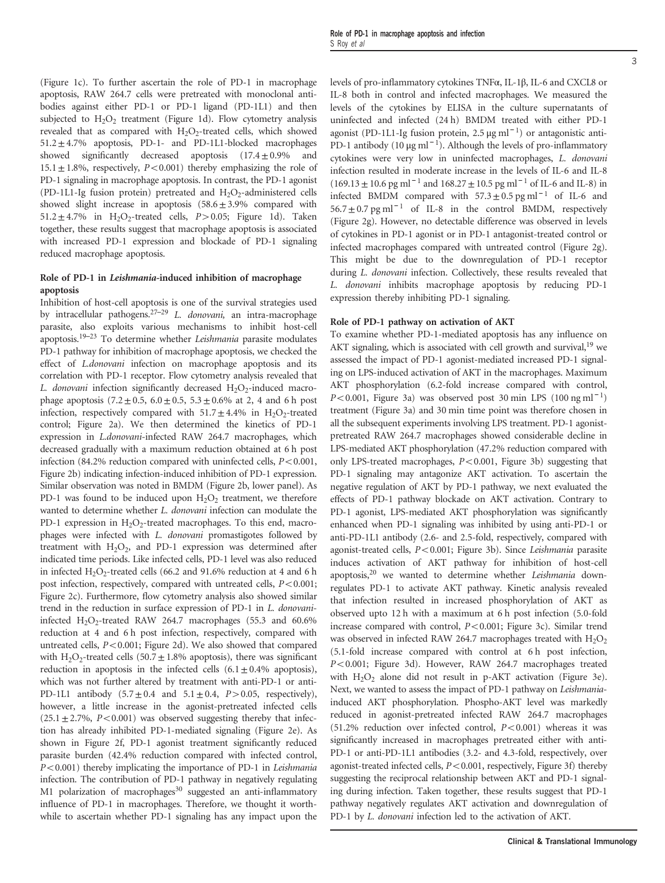(Figure 1c). To further ascertain the role of PD-1 in macrophage apoptosis, RAW 264.7 cells were pretreated with monoclonal antibodies against either PD-1 or PD-1 ligand (PD-1L1) and then subjected to  $H_2O_2$  treatment (Figure 1d). Flow cytometry analysis revealed that as compared with  $H_2O_2$ -treated cells, which showed  $51.2 \pm 4.7\%$  apoptosis, PD-1- and PD-1L1-blocked macrophages showed significantly decreased apoptosis  $(17.4 \pm 0.9\%$  and  $15.1 \pm 1.8\%$ , respectively,  $P < 0.001$ ) thereby emphasizing the role of PD-1 signaling in macrophage apoptosis. In contrast, the PD-1 agonist (PD-1L1-Ig fusion protein) pretreated and  $H_2O_2$ -administered cells showed slight increase in apoptosis  $(58.6 \pm 3.9\%$  compared with 51.2  $\pm$  4.7% in H<sub>2</sub>O<sub>2</sub>-treated cells, *P*>0.05; Figure 1d). Taken together, these results suggest that macrophage apoptosis is associated with increased PD-1 expression and blockade of PD-1 signaling reduced macrophage apoptosis.

## Role of PD-1 in Leishmania-induced inhibition of macrophage apoptosis

Inhibition of host-cell apoptosis is one of the survival strategies used by intracellular pathogens.27–<sup>29</sup> *L. donovani,* an intra-macrophage parasite, also exploits various mechanisms to inhibit host-cell apoptosis.19–<sup>23</sup> To determine whether *Leishmania* parasite modulates PD-1 pathway for inhibition of macrophage apoptosis, we checked the effect of *L.donovani* infection on macrophage apoptosis and its correlation with PD-1 receptor. Flow cytometry analysis revealed that L. donovani infection significantly decreased H<sub>2</sub>O<sub>2</sub>-induced macrophage apoptosis  $(7.2 \pm 0.5, 6.0 \pm 0.5, 5.3 \pm 0.6\%$  at 2, 4 and 6 h post infection, respectively compared with  $51.7 \pm 4.4\%$  in  $H_2O_2$ -treated control; Figure 2a). We then determined the kinetics of PD-1 expression in *L.donovani*-infected RAW 264.7 macrophages, which decreased gradually with a maximum reduction obtained at 6 h post infection (84.2% reduction compared with uninfected cells,  $P < 0.001$ , Figure 2b) indicating infection-induced inhibition of PD-1 expression. Similar observation was noted in BMDM (Figure 2b, lower panel). As PD-1 was found to be induced upon  $H_2O_2$  treatment, we therefore wanted to determine whether *L. donovani* infection can modulate the PD-1 expression in  $H_2O_2$ -treated macrophages. To this end, macrophages were infected with *L. donovani* promastigotes followed by treatment with  $H_2O_2$ , and PD-1 expression was determined after indicated time periods. Like infected cells, PD-1 level was also reduced in infected  $H_2O_2$ -treated cells (66.2 and 91.6% reduction at 4 and 6 h post infection, respectively, compared with untreated cells, *P*<0.001; Figure 2c). Furthermore, flow cytometry analysis also showed similar trend in the reduction in surface expression of PD-1 in *L. donovani*infected  $H_2O_2$ -treated RAW 264.7 macrophages (55.3 and 60.6%) reduction at 4 and 6 h post infection, respectively, compared with untreated cells,  $P<0.001$ ; Figure 2d). We also showed that compared with  $H_2O_2$ -treated cells (50.7  $\pm$  1.8% apoptosis), there was significant reduction in apoptosis in the infected cells  $(6.1 \pm 0.4\%$  apoptosis), which was not further altered by treatment with anti-PD-1 or anti-PD-1L1 antibody  $(5.7 \pm 0.4 \text{ and } 5.1 \pm 0.4, P > 0.05, respectively)$ , however, a little increase in the agonist-pretreated infected cells  $(25.1 \pm 2.7\%, P < 0.001)$  was observed suggesting thereby that infection has already inhibited PD-1-mediated signaling (Figure 2e). As shown in Figure 2f, PD-1 agonist treatment significantly reduced parasite burden (42.4% reduction compared with infected control, *P*<0.001) thereby implicating the importance of PD-1 in *Leishmania* infection. The contribution of PD-1 pathway in negatively regulating M1 polarization of macrophages<sup>30</sup> suggested an anti-inflammatory influence of PD-1 in macrophages. Therefore, we thought it worthwhile to ascertain whether PD-1 signaling has any impact upon the levels of pro-inflammatory cytokines TNFα, IL-1β, IL-6 and CXCL8 or IL-8 both in control and infected macrophages. We measured the levels of the cytokines by ELISA in the culture supernatants of uninfected and infected (24 h) BMDM treated with either PD-1 agonist (PD-1L1-Ig fusion protein,  $2.5 \mu g$  ml<sup>-1</sup>) or antagonistic anti-PD-1 antibody (10  $\mu$ g ml<sup>-1</sup>). Although the levels of pro-inflammatory cytokines were very low in uninfected macrophages, *L. donovani* infection resulted in moderate increase in the levels of IL-6 and IL-8

(169.13 ± 10.6 pg ml<sup>-1</sup> and 168.27 ± 10.5 pg ml<sup>-1</sup> of IL-6 and IL-8) in infected BMDM compared with  $57.3 \pm 0.5$  pg ml<sup>-1</sup> of IL-6 and  $56.7 \pm 0.7$  pg ml<sup>-1</sup> of IL-8 in the control BMDM, respectively (Figure 2g). However, no detectable difference was observed in levels of cytokines in PD-1 agonist or in PD-1 antagonist-treated control or infected macrophages compared with untreated control (Figure 2g). This might be due to the downregulation of PD-1 receptor during *L. donovani* infection. Collectively, these results revealed that *L. donovani* inhibits macrophage apoptosis by reducing PD-1 expression thereby inhibiting PD-1 signaling.

## Role of PD-1 pathway on activation of AKT

To examine whether PD-1-mediated apoptosis has any influence on AKT signaling, which is associated with cell growth and survival,<sup>19</sup> we assessed the impact of PD-1 agonist-mediated increased PD-1 signaling on LPS-induced activation of AKT in the macrophages. Maximum AKT phosphorylation (6.2-fold increase compared with control, *P*<0.001, Figure 3a) was observed post 30 min LPS (100 ng ml<sup>-1</sup>) treatment (Figure 3a) and 30 min time point was therefore chosen in all the subsequent experiments involving LPS treatment. PD-1 agonistpretreated RAW 264.7 macrophages showed considerable decline in LPS-mediated AKT phosphorylation (47.2% reduction compared with only LPS-treated macrophages,  $P < 0.001$ , Figure 3b) suggesting that PD-1 signaling may antagonize AKT activation. To ascertain the negative regulation of AKT by PD-1 pathway, we next evaluated the effects of PD-1 pathway blockade on AKT activation. Contrary to PD-1 agonist, LPS-mediated AKT phosphorylation was significantly enhanced when PD-1 signaling was inhibited by using anti-PD-1 or anti-PD-1L1 antibody (2.6- and 2.5-fold, respectively, compared with agonist-treated cells, *P*<0.001; Figure 3b). Since *Leishmania* parasite induces activation of AKT pathway for inhibition of host-cell apoptosis,<sup>20</sup> we wanted to determine whether *Leishmania* downregulates PD-1 to activate AKT pathway. Kinetic analysis revealed that infection resulted in increased phosphorylation of AKT as observed upto 12 h with a maximum at 6 h post infection (5.0-fold increase compared with control,  $P < 0.001$ ; Figure 3c). Similar trend was observed in infected RAW 264.7 macrophages treated with  $H_2O_2$ (5.1-fold increase compared with control at 6 h post infection, *P*<0.001; Figure 3d). However, RAW 264.7 macrophages treated with  $H_2O_2$  alone did not result in p-AKT activation (Figure 3e). Next, we wanted to assess the impact of PD-1 pathway on *Leishmania*induced AKT phosphorylation. Phospho-AKT level was markedly reduced in agonist-pretreated infected RAW 264.7 macrophages (51.2% reduction over infected control,  $P < 0.001$ ) whereas it was significantly increased in macrophages pretreated either with anti-PD-1 or anti-PD-1L1 antibodies (3.2- and 4.3-fold, respectively, over agonist-treated infected cells,  $P < 0.001$ , respectively, Figure 3f) thereby suggesting the reciprocal relationship between AKT and PD-1 signaling during infection. Taken together, these results suggest that PD-1 pathway negatively regulates AKT activation and downregulation of PD-1 by *L. donovani* infection led to the activation of AKT.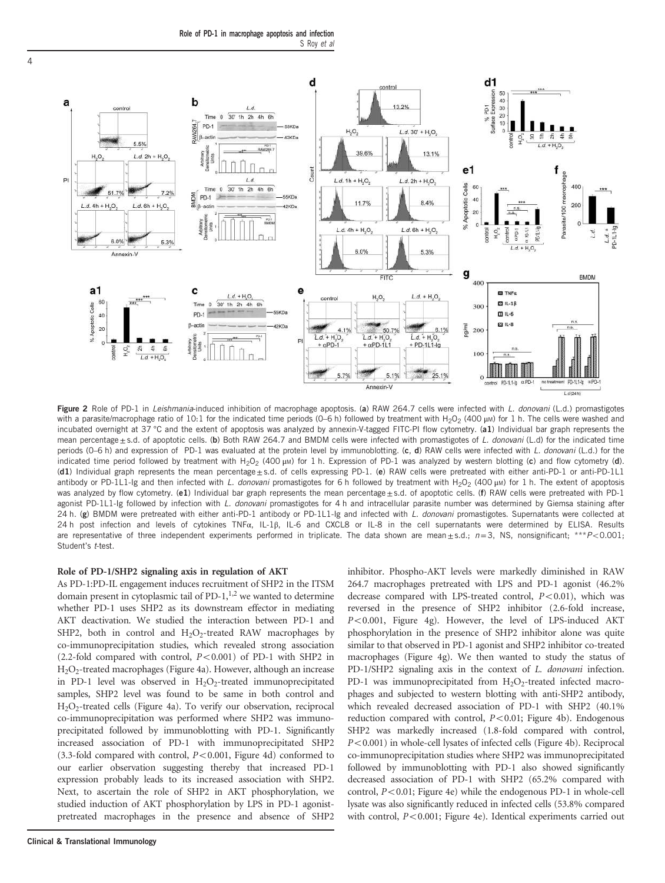Role of PD-1 in macrophage apoptosis and infection S Roy et al



Figure 2 Role of PD-1 in Leishmania-induced inhibition of macrophage apoptosis. (a) RAW 264.7 cells were infected with L. donovani (L.d.) promastigotes with a parasite/macrophage ratio of 10:1 for the indicated time periods (0–6 h) followed by treatment with  $H_2O_2$  (400 μM) for 1 h. The cells were washed and incubated overnight at 37 °C and the extent of apoptosis was analyzed by annexin-V-tagged FITC-PI flow cytometry. (a1) Individual bar graph represents the mean percentage ±s.d. of apoptotic cells. (b) Both RAW 264.7 and BMDM cells were infected with promastigotes of L. donovani (L.d) for the indicated time periods (0–6 h) and expression of PD-1 was evaluated at the protein level by immunoblotting. (c, d) RAW cells were infected with L. donovani (L.d.) for the indicated time period followed by treatment with H<sub>2</sub>O<sub>2</sub> (400 μM) for 1 h. Expression of PD-1 was analyzed by western blotting (c) and flow cytometry (d). (d1) Individual graph represents the mean percentage ± s.d. of cells expressing PD-1. (e) RAW cells were pretreated with either anti-PD-1 or anti-PD-1L1 antibody or PD-1L1-Ig and then infected with L. donovani promastigotes for 6 h followed by treatment with H<sub>2</sub>O<sub>2</sub> (400 μM) for 1 h. The extent of apoptosis was analyzed by flow cytometry. (e1) Individual bar graph represents the mean percentage±s.d. of apoptotic cells. (f) RAW cells were pretreated with PD-1 agonist PD-1L1-Ig followed by infection with L. donovani promastigotes for 4 h and intracellular parasite number was determined by Giemsa staining after 24 h. (g) BMDM were pretreated with either anti-PD-1 antibody or PD-1L1-Ig and infected with L. donovani promastigotes. Supernatants were collected at 24 h post infection and levels of cytokines TNFα, IL-1β, IL-6 and CXCL8 or IL-8 in the cell supernatants were determined by ELISA. Results are representative of three independent experiments performed in triplicate. The data shown are mean $\pm$ s.d.;  $n=3$ , NS, nonsignificant; \*\* $P$ <0.001; Student's t-test.

## Role of PD-1/SHP2 signaling axis in regulation of AKT

As PD-1:PD-IL engagement induces recruitment of SHP2 in the ITSM domain present in cytoplasmic tail of PD-1, $^{1,2}$  we wanted to determine whether PD-1 uses SHP2 as its downstream effector in mediating AKT deactivation. We studied the interaction between PD-1 and SHP2, both in control and  $H_2O_2$ -treated RAW macrophages by co-immunoprecipitation studies, which revealed strong association (2.2-fold compared with control,  $P < 0.001$ ) of PD-1 with SHP2 in H2O<sup>2</sup> -treated macrophages (Figure 4a). However, although an increase in PD-1 level was observed in  $H_2O_2$ -treated immunoprecipitated samples, SHP2 level was found to be same in both control and H2O<sup>2</sup> -treated cells (Figure 4a). To verify our observation, reciprocal co-immunoprecipitation was performed where SHP2 was immunoprecipitated followed by immunoblotting with PD-1. Significantly increased association of PD-1 with immunoprecipitated SHP2 (3.3-fold compared with control,  $P < 0.001$ , Figure 4d) conformed to our earlier observation suggesting thereby that increased PD-1 expression probably leads to its increased association with SHP2. Next, to ascertain the role of SHP2 in AKT phosphorylation, we studied induction of AKT phosphorylation by LPS in PD-1 agonistpretreated macrophages in the presence and absence of SHP2 inhibitor. Phospho-AKT levels were markedly diminished in RAW 264.7 macrophages pretreated with LPS and PD-1 agonist (46.2% decrease compared with LPS-treated control,  $P<0.01$ ), which was reversed in the presence of SHP2 inhibitor (2.6-fold increase, *P*<0.001, Figure 4g). However, the level of LPS-induced AKT phosphorylation in the presence of SHP2 inhibitor alone was quite similar to that observed in PD-1 agonist and SHP2 inhibitor co-treated macrophages (Figure 4g). We then wanted to study the status of PD-1/SHP2 signaling axis in the context of *L. donovani* infection. PD-1 was immunoprecipitated from  $H_2O_2$ -treated infected macrophages and subjected to western blotting with anti-SHP2 antibody, which revealed decreased association of PD-1 with SHP2 (40.1% reduction compared with control, *P*<0.01; Figure 4b). Endogenous SHP2 was markedly increased (1.8-fold compared with control, *P*<0.001) in whole-cell lysates of infected cells (Figure 4b). Reciprocal co-immunoprecipitation studies where SHP2 was immunoprecipitated followed by immunoblotting with PD-1 also showed significantly decreased association of PD-1 with SHP2 (65.2% compared with control,  $P < 0.01$ ; Figure 4e) while the endogenous PD-1 in whole-cell lysate was also significantly reduced in infected cells (53.8% compared with control,  $P < 0.001$ ; Figure 4e). Identical experiments carried out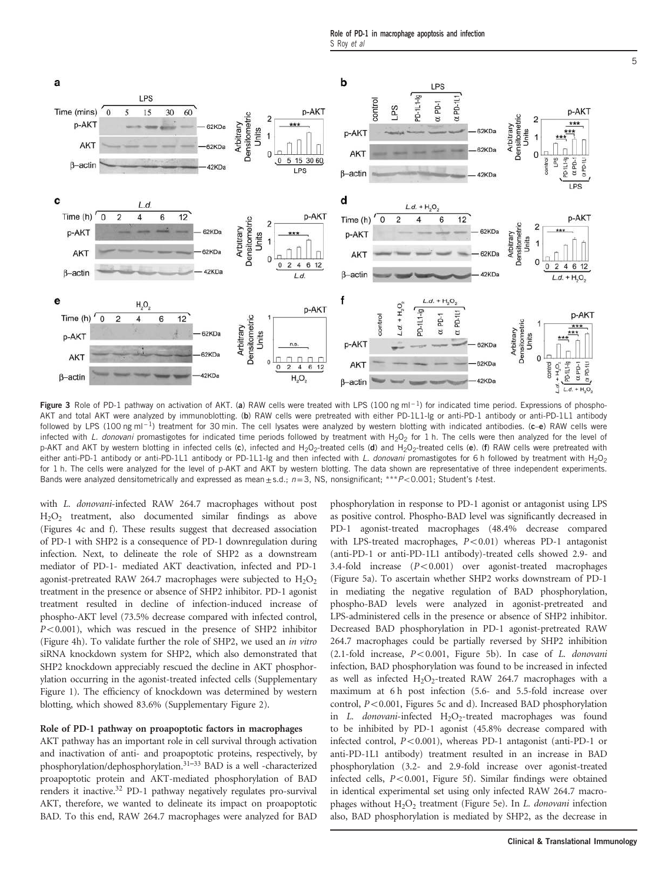Role of PD-1 in macrophage apoptosis and infection S Roy et al



Figure 3 Role of PD-1 pathway on activation of AKT. (a) RAW cells were treated with LPS (100 ng ml<sup>-1</sup>) for indicated time period. Expressions of phospho-AKT and total AKT were analyzed by immunoblotting. (b) RAW cells were pretreated with either PD-1L1-Ig or anti-PD-1 antibody or anti-PD-1L1 antibody followed by LPS (100 ng ml<sup>-1</sup>) treatment for 30 min. The cell lysates were analyzed by western blotting with indicated antibodies. (c–e) RAW cells were infected with L. donovani promastigotes for indicated time periods followed by treatment with H<sub>2</sub>O<sub>2</sub> for 1 h. The cells were then analyzed for the level of p-AKT and AKT by western blotting in infected cells (c), infected and H<sub>2</sub>O<sub>2</sub>-treated cells (d) and H<sub>2</sub>O<sub>2</sub>-treated cells (e). (f) RAW cells were pretreated with either anti-PD-1 antibody or anti-PD-1L1 antibody or PD-1L1-Ig and then infected with L. donovani promastigotes for 6 h followed by treatment with H<sub>2</sub>O<sub>2</sub> for 1 h. The cells were analyzed for the level of p-AKT and AKT by western blotting. The data shown are representative of three independent experiments. Bands were analyzed densitometrically and expressed as mean $\pm$ s.d.; n=3, NS, nonsignificant; \*\* $P$ <0.001; Student's t-test.

with *L. donovani*-infected RAW 264.7 macrophages without post H2O<sup>2</sup> treatment, also documented similar findings as above (Figures 4c and f). These results suggest that decreased association of PD-1 with SHP2 is a consequence of PD-1 downregulation during infection. Next, to delineate the role of SHP2 as a downstream mediator of PD-1- mediated AKT deactivation, infected and PD-1 agonist-pretreated RAW 264.7 macrophages were subjected to  $H_2O_2$ treatment in the presence or absence of SHP2 inhibitor. PD-1 agonist treatment resulted in decline of infection-induced increase of phospho-AKT level (73.5% decrease compared with infected control,  $P<0.001$ ), which was rescued in the presence of SHP2 inhibitor (Figure 4h). To validate further the role of SHP2, we used an *in vitro* siRNA knockdown system for SHP2, which also demonstrated that SHP2 knockdown appreciably rescued the decline in AKT phosphorylation occurring in the agonist-treated infected cells (Supplementary Figure 1). The efficiency of knockdown was determined by western blotting, which showed 83.6% (Supplementary Figure 2).

#### Role of PD-1 pathway on proapoptotic factors in macrophages

AKT pathway has an important role in cell survival through activation and inactivation of anti- and proapoptotic proteins, respectively, by phosphorylation/dephosphorylation.31–<sup>33</sup> BAD is a well -characterized proapoptotic protein and AKT-mediated phosphorylation of BAD renders it inactive.<sup>32</sup> PD-1 pathway negatively regulates pro-survival AKT, therefore, we wanted to delineate its impact on proapoptotic BAD. To this end, RAW 264.7 macrophages were analyzed for BAD phosphorylation in response to PD-1 agonist or antagonist using LPS as positive control. Phospho-BAD level was significantly decreased in PD-1 agonist-treated macrophages (48.4% decrease compared with LPS-treated macrophages,  $P < 0.01$ ) whereas PD-1 antagonist (anti-PD-1 or anti-PD-1L1 antibody)-treated cells showed 2.9- and 3.4-fold increase (*P*<0.001) over agonist-treated macrophages (Figure 5a). To ascertain whether SHP2 works downstream of PD-1 in mediating the negative regulation of BAD phosphorylation, phospho-BAD levels were analyzed in agonist-pretreated and LPS-administered cells in the presence or absence of SHP2 inhibitor. Decreased BAD phosphorylation in PD-1 agonist-pretreated RAW 264.7 macrophages could be partially reversed by SHP2 inhibition  $(2.1-fold increase,  $P<0.001$ , Figure 5b). In case of *L. donovani*$ infection, BAD phosphorylation was found to be increased in infected as well as infected  $H_2O_2$ -treated RAW 264.7 macrophages with a maximum at 6 h post infection (5.6- and 5.5-fold increase over control,  $P < 0.001$ , Figures 5c and d). Increased BAD phosphorylation in *L. donovani*-infected H<sub>2</sub>O<sub>2</sub>-treated macrophages was found to be inhibited by PD-1 agonist (45.8% decrease compared with infected control,  $P<0.001$ ), whereas PD-1 antagonist (anti-PD-1 or anti-PD-1L1 antibody) treatment resulted in an increase in BAD phosphorylation (3.2- and 2.9-fold increase over agonist-treated infected cells,  $P < 0.001$ , Figure 5f). Similar findings were obtained in identical experimental set using only infected RAW 264.7 macrophages without H<sub>2</sub>O<sub>2</sub> treatment (Figure 5e). In *L. donovani* infection also, BAD phosphorylation is mediated by SHP2, as the decrease in

5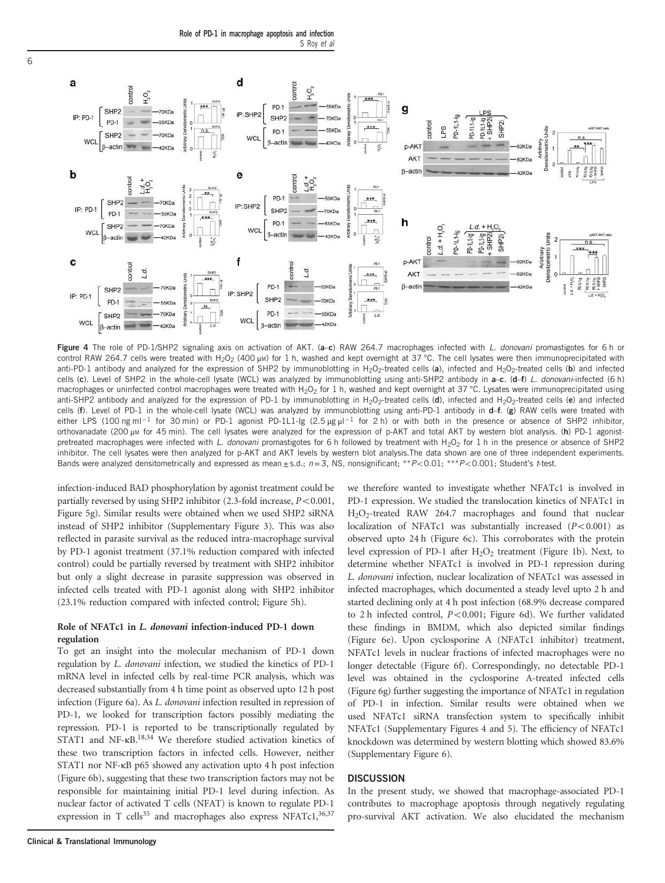Role of PD-1 in macrophage apoptosis and infection S Roy et al



Figure 4 The role of PD-1/SHP2 signaling axis on activation of AKT. (a-c) RAW 264.7 macrophages infected with L. donovani promastigotes for 6 h or control RAW 264.7 cells were treated with H<sub>2</sub>O<sub>2</sub> (400 μM) for 1 h, washed and kept overnight at 37 °C. The cell lysates were then immunoprecipitated with anti-PD-1 antibody and analyzed for the expression of SHP2 by immunoblotting in H<sub>2</sub>O<sub>2</sub>-treated cells (a), infected and H<sub>2</sub>O<sub>2</sub>-treated cells (b) and infected cells (c). Level of SHP2 in the whole-cell lysate (WCL) was analyzed by immunoblotting using anti-SHP2 antibody in a-c. (d–f) L. donovani-infected (6 h) macrophages or uninfected control macrophages were treated with H<sub>2</sub>O<sub>2</sub> for 1 h, washed and kept overnight at 37 °C. Lysates were immunoprecipitated using anti-SHP2 antibody and analyzed for the expression of PD-1 by immunoblotting in H<sub>2</sub>O<sub>2</sub>-treated cells (d), infected and H<sub>2</sub>O<sub>2</sub>-treated cells (e) and infected cells (f). Level of PD-1 in the whole-cell lysate (WCL) was analyzed by immunoblotting using anti-PD-1 antibody in d–f. (g) RAW cells were treated with either LPS (100 ng ml<sup>-1</sup> for 30 min) or PD-1 agonist PD-1L1-lg (2.5 μg μl<sup>-1</sup> for 2 h) or with both in the presence or absence of SHP2 inhibitor, orthovanadate (200 μm for 45 min). The cell lysates were analyzed for the expression of p-AKT and total AKT by western blot analysis. (h) PD-1 agonistpretreated macrophages were infected with L. donovani promastigotes for 6 h followed by treatment with H<sub>2</sub>O<sub>2</sub> for 1 h in the presence or absence of SHP2 inhibitor. The cell lysates were then analyzed for p-AKT and AKT levels by western blot analysis.The data shown are one of three independent experiments. Bands were analyzed densitometrically and expressed as mean  $\pm$  s.d.;  $n=3$ , NS, nonsignificant; \*\* $P<0.01$ ; \*\*\* $P<0.001$ ; Student's t-test.

infection-induced BAD phosphorylation by agonist treatment could be partially reversed by using SHP2 inhibitor  $(2.3\text{-}fold \text{ increase}, P<0.001,$ Figure 5g). Similar results were obtained when we used SHP2 siRNA instead of SHP2 inhibitor (Supplementary Figure 3). This was also reflected in parasite survival as the reduced intra-macrophage survival by PD-1 agonist treatment (37.1% reduction compared with infected control) could be partially reversed by treatment with SHP2 inhibitor but only a slight decrease in parasite suppression was observed in infected cells treated with PD-1 agonist along with SHP2 inhibitor (23.1% reduction compared with infected control; Figure 5h).

## Role of NFATc1 in L. donovani infection-induced PD-1 down regulation

To get an insight into the molecular mechanism of PD-1 down regulation by *L. donovani* infection, we studied the kinetics of PD-1 mRNA level in infected cells by real-time PCR analysis, which was decreased substantially from 4 h time point as observed upto 12 h post infection (Figure 6a). As *L. donovani* infection resulted in repression of PD-1, we looked for transcription factors possibly mediating the repression. PD-1 is reported to be transcriptionally regulated by STAT1 and NF-κB.<sup>18,34</sup> We therefore studied activation kinetics of these two transcription factors in infected cells. However, neither STAT1 nor NF-κB p65 showed any activation upto 4 h post infection (Figure 6b), suggesting that these two transcription factors may not be responsible for maintaining initial PD-1 level during infection. As nuclear factor of activated T cells (NFAT) is known to regulate PD-1 expression in T cells<sup>35</sup> and macrophages also express NFATc1,<sup>36,37</sup>

we therefore wanted to investigate whether NFATc1 is involved in PD-1 expression. We studied the translocation kinetics of NFATc1 in H2O<sup>2</sup> -treated RAW 264.7 macrophages and found that nuclear localization of NFATc1 was substantially increased  $(P<0.001)$  as observed upto 24 h (Figure 6c). This corroborates with the protein level expression of PD-1 after H<sub>2</sub>O<sub>2</sub> treatment (Figure 1b). Next, to determine whether NFATc1 is involved in PD-1 repression during *L. donovani* infection, nuclear localization of NFATc1 was assessed in infected macrophages, which documented a steady level upto 2 h and started declining only at 4 h post infection (68.9% decrease compared to 2 h infected control, *P*<0.001; Figure 6d). We further validated these findings in BMDM, which also depicted similar findings (Figure 6e). Upon cyclosporine A (NFATc1 inhibitor) treatment, NFATc1 levels in nuclear fractions of infected macrophages were no longer detectable (Figure 6f). Correspondingly, no detectable PD-1 level was obtained in the cyclosporine A-treated infected cells (Figure 6g) further suggesting the importance of NFATc1 in regulation of PD-1 in infection. Similar results were obtained when we used NFATc1 siRNA transfection system to specifically inhibit NFATc1 (Supplementary Figures 4 and 5). The efficiency of NFATc1 knockdown was determined by western blotting which showed 83.6% (Supplementary Figure 6).

### **DISCUSSION**

In the present study, we showed that macrophage-associated PD-1 contributes to macrophage apoptosis through negatively regulating pro-survival AKT activation. We also elucidated the mechanism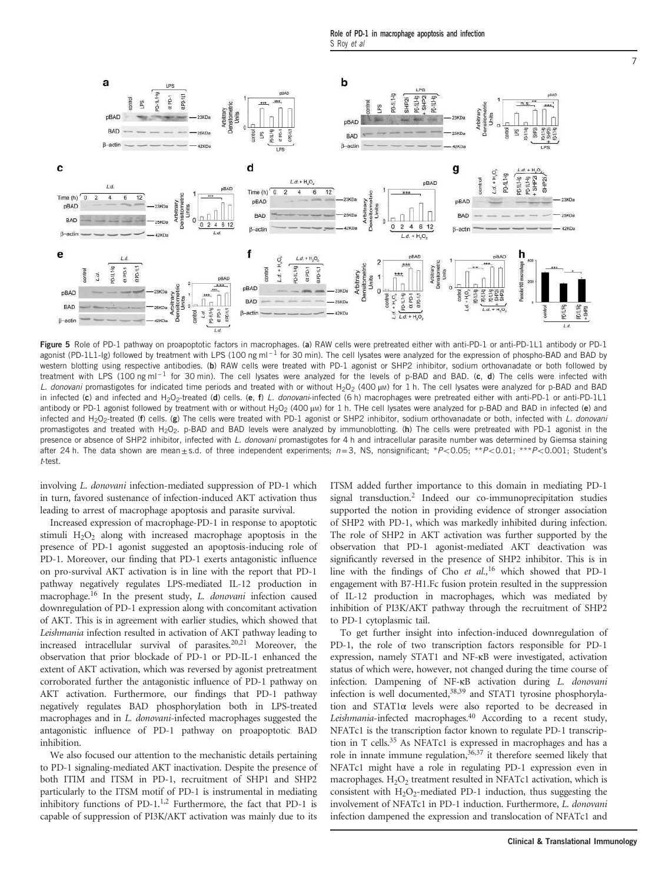Role of PD-1 in macrophage apoptosis and infection S Roy et al



Figure 5 Role of PD-1 pathway on proapoptotic factors in macrophages. (a) RAW cells were pretreated either with anti-PD-1 or anti-PD-1L1 antibody or PD-1 agonist (PD-1L1-Ig) followed by treatment with LPS (100 ng ml<sup>-1</sup> for 30 min). The cell lysates were analyzed for the expression of phospho-BAD and BAD by western blotting using respective antibodies. (b) RAW cells were treated with PD-1 agonist or SHP2 inhibitor, sodium orthovanadate or both followed by treatment with LPS (100 ng ml<sup>-1</sup> for 30 min). The cell lysates were analyzed for the levels of p-BAD and BAD. (c, d) The cells were infected with L. donovani promastigotes for indicated time periods and treated with or without H<sub>2</sub>O<sub>2</sub> (400 μM) for 1 h. The cell lysates were analyzed for p-BAD and BAD in infected (c) and infected and H<sub>2</sub>O<sub>2</sub>-treated (d) cells. (e, f) L. donovani-infected (6 h) macrophages were pretreated either with anti-PD-1 or anti-PD-1L1 antibody or PD-1 agonist followed by treatment with or without H<sub>2</sub>O<sub>2</sub> (400 μM) for 1 h. The cell lysates were analyzed for p-BAD and BAD in infected (e) and infected and H<sub>2</sub>O<sub>2</sub>-treated (f) cells. (g) The cells were treated with PD-1 agonist or SHP2 inhibitor, sodium orthovanadate or both, infected with L. donovani promastigotes and treated with H<sub>2</sub>O<sub>2</sub>. p-BAD and BAD levels were analyzed by immunoblotting. (h) The cells were pretreated with PD-1 agonist in the presence or absence of SHP2 inhibitor, infected with L. donovani promastigotes for 4 h and intracellular parasite number was determined by Giemsa staining after 24 h. The data shown are mean $\pm$ s.d. of three independent experiments;  $n=3$ , NS, nonsignificant; \*P<0.05; \*\*P<0.01; \*\*\*P<0.001; Student's t-test.

involving *L*. *donovani* infection-mediated suppression of PD-1 which in turn, favored sustenance of infection-induced AKT activation thus leading to arrest of macrophage apoptosis and parasite survival.

Increased expression of macrophage-PD-1 in response to apoptotic stimuli  $H_2O_2$  along with increased macrophage apoptosis in the presence of PD-1 agonist suggested an apoptosis-inducing role of PD-1. Moreover, our finding that PD-1 exerts antagonistic influence on pro-survival AKT activation is in line with the report that PD-1 pathway negatively regulates LPS-mediated IL-12 production in macrophage.<sup>16</sup> In the present study, *L. donovani* infection caused downregulation of PD-1 expression along with concomitant activation of AKT. This is in agreement with earlier studies, which showed that *Leishmania* infection resulted in activation of AKT pathway leading to increased intracellular survival of parasites.20,21 Moreover, the observation that prior blockade of PD-1 or PD-IL-1 enhanced the extent of AKT activation, which was reversed by agonist pretreatment corroborated further the antagonistic influence of PD-1 pathway on AKT activation. Furthermore, our findings that PD-1 pathway negatively regulates BAD phosphorylation both in LPS-treated macrophages and in *L. donovani-*infected macrophages suggested the antagonistic influence of PD-1 pathway on proapoptotic BAD inhibition.

We also focused our attention to the mechanistic details pertaining to PD-1 signaling-mediated AKT inactivation. Despite the presence of both ITIM and ITSM in PD-1, recruitment of SHP1 and SHP2 particularly to the ITSM motif of PD-1 is instrumental in mediating inhibitory functions of PD-1. $^{1,2}$  Furthermore, the fact that PD-1 is capable of suppression of PI3K/AKT activation was mainly due to its

ITSM added further importance to this domain in mediating PD-1 signal transduction.<sup>2</sup> Indeed our co-immunoprecipitation studies supported the notion in providing evidence of stronger association of SHP2 with PD-1, which was markedly inhibited during infection. The role of SHP2 in AKT activation was further supported by the observation that PD-1 agonist-mediated AKT deactivation was significantly reversed in the presence of SHP2 inhibitor. This is in line with the findings of Cho *et al.,*<sup>16</sup> which showed that PD-1 engagement with B7-H1.Fc fusion protein resulted in the suppression of IL-12 production in macrophages, which was mediated by inhibition of PI3K/AKT pathway through the recruitment of SHP2 to PD-1 cytoplasmic tail.

To get further insight into infection-induced downregulation of PD-1, the role of two transcription factors responsible for PD-1 expression, namely STAT1 and NF-κB were investigated, activation status of which were, however, not changed during the time course of infection. Dampening of NF-κB activation during *L. donovani* infection is well documented,<sup>38,39</sup> and STAT1 tyrosine phosphorylation and STAT1α levels were also reported to be decreased in *Leishmania*-infected macrophages.<sup>40</sup> According to a recent study, NFATc1 is the transcription factor known to regulate PD-1 transcription in T cells.<sup>35</sup> As NFATc1 is expressed in macrophages and has a role in innate immune regulation,  $36,37$  it therefore seemed likely that NFATc1 might have a role in regulating PD-1 expression even in macrophages.  $H_2O_2$  treatment resulted in NFATc1 activation, which is consistent with  $H_2O_2$ -mediated PD-1 induction, thus suggesting the involvement of NFATc1 in PD-1 induction. Furthermore, *L. donovani* infection dampened the expression and translocation of NFATc1 and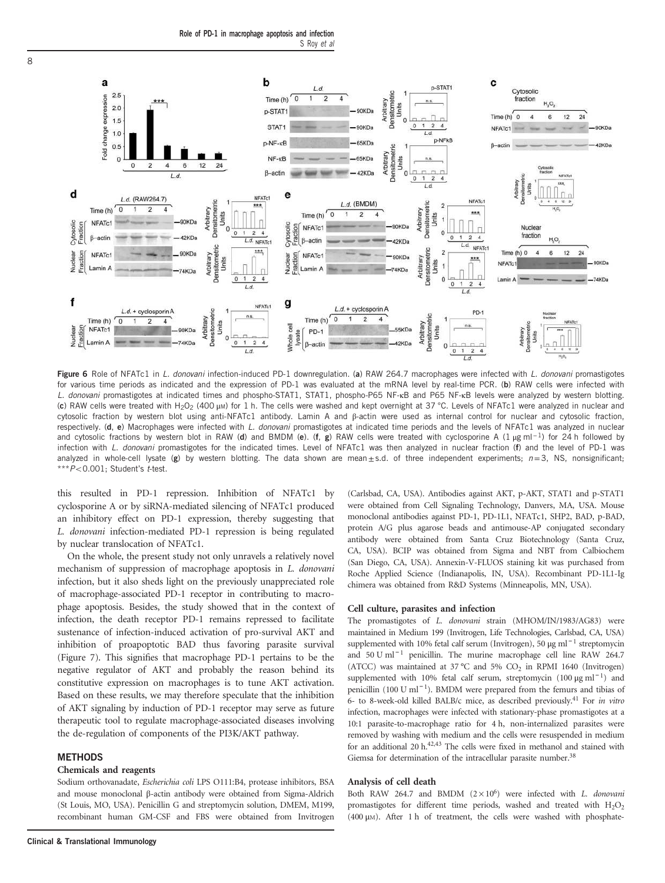Role of PD-1 in macrophage apoptosis and infection S Roy et al



Figure 6 Role of NFATc1 in L. donovani infection-induced PD-1 downregulation. (a) RAW 264.7 macrophages were infected with L. donovani promastigotes for various time periods as indicated and the expression of PD-1 was evaluated at the mRNA level by real-time PCR. (b) RAW cells were infected with L. donovani promastigotes at indicated times and phospho-STAT1, STAT1, phospho-P65 NF-KB and P65 NF-KB levels were analyzed by western blotting. (c) RAW cells were treated with H<sub>2</sub>O<sub>2</sub> (400 μM) for 1 h. The cells were washed and kept overnight at 37 °C. Levels of NFATc1 were analyzed in nuclear and cytosolic fraction by western blot using anti-NFATc1 antibody. Lamin A and β-actin were used as internal control for nuclear and cytosolic fraction, respectively. (d, e) Macrophages were infected with L. donovani promastigotes at indicated time periods and the levels of NFATc1 was analyzed in nuclear and cytosolic fractions by western blot in RAW (d) and BMDM (e). (f, g) RAW cells were treated with cyclosporine A (1 µg ml<sup>-1</sup>) for 24 h followed by infection with L. donovani promastigotes for the indicated times. Level of NFATc1 was then analyzed in nuclear fraction (f) and the level of PD-1 was analyzed in whole-cell lysate (g) by western blotting. The data shown are mean $\pm s.d.$  of three independent experiments;  $n=3$ , NS, nonsignificant;  $***P<0.001$ ; Student's t-test.

this resulted in PD-1 repression. Inhibition of NFATc1 by cyclosporine A or by siRNA-mediated silencing of NFATc1 produced an inhibitory effect on PD-1 expression, thereby suggesting that *L. donovani* infection-mediated PD-1 repression is being regulated by nuclear translocation of NFATc1.

On the whole, the present study not only unravels a relatively novel mechanism of suppression of macrophage apoptosis in *L. donovani* infection, but it also sheds light on the previously unappreciated role of macrophage-associated PD-1 receptor in contributing to macrophage apoptosis. Besides, the study showed that in the context of infection, the death receptor PD-1 remains repressed to facilitate sustenance of infection-induced activation of pro-survival AKT and inhibition of proapoptotic BAD thus favoring parasite survival (Figure 7). This signifies that macrophage PD-1 pertains to be the negative regulator of AKT and probably the reason behind its constitutive expression on macrophages is to tune AKT activation. Based on these results, we may therefore speculate that the inhibition of AKT signaling by induction of PD-1 receptor may serve as future therapeutic tool to regulate macrophage-associated diseases involving the de-regulation of components of the PI3K/AKT pathway.

#### **METHODS**

#### Chemicals and reagents

Sodium orthovanadate, *Escherichia coli* LPS O111:B4, protease inhibitors, BSA and mouse monoclonal β-actin antibody were obtained from Sigma-Aldrich (St Louis, MO, USA). Penicillin G and streptomycin solution, DMEM, M199, recombinant human GM-CSF and FBS were obtained from Invitrogen (Carlsbad, CA, USA). Antibodies against AKT, p-AKT, STAT1 and p-STAT1 were obtained from Cell Signaling Technology, Danvers, MA, USA. Mouse monoclonal antibodies against PD-1, PD-1L1, NFATc1, SHP2, BAD, p-BAD, protein A/G plus agarose beads and antimouse-AP conjugated secondary antibody were obtained from Santa Cruz Biotechnology (Santa Cruz, CA, USA). BCIP was obtained from Sigma and NBT from Calbiochem (San Diego, CA, USA). Annexin-V-FLUOS staining kit was purchased from Roche Applied Science (Indianapolis, IN, USA). Recombinant PD-1L1-Ig chimera was obtained from R&D Systems (Minneapolis, MN, USA).

#### Cell culture, parasites and infection

The promastigotes of *L. donovani* strain (MHOM/IN/1983/AG83) were maintained in Medium 199 (Invitrogen, Life Technologies, Carlsbad, CA, USA) supplemented with 10% fetal calf serum (Invitrogen), 50 μg ml<sup>-1</sup> streptomycin and 50 U ml<sup>-1</sup> penicillin. The murine macrophage cell line RAW 264.7 (ATCC) was maintained at 37 °C and 5%  $CO<sub>2</sub>$  in RPMI 1640 (Invitrogen) supplemented with 10% fetal calf serum, streptomycin (100 μg ml<sup>-1</sup>) and penicillin (100 U ml<sup>-1</sup>). BMDM were prepared from the femurs and tibias of 6- to 8-week-old killed BALB/c mice, as described previously.<sup>41</sup> For *in vitro* infection, macrophages were infected with stationary-phase promastigotes at a 10:1 parasite-to-macrophage ratio for 4 h, non-internalized parasites were removed by washing with medium and the cells were resuspended in medium for an additional 20 h.42,43 The cells were fixed in methanol and stained with Giemsa for determination of the intracellular parasite number.<sup>38</sup>

#### Analysis of cell death

Both RAW 264.7 and BMDM ( $2 \times 10^6$ ) were infected with *L. donovani* promastigotes for different time periods, washed and treated with  $H_2O_2$ (400 μM). After 1 h of treatment, the cells were washed with phosphate-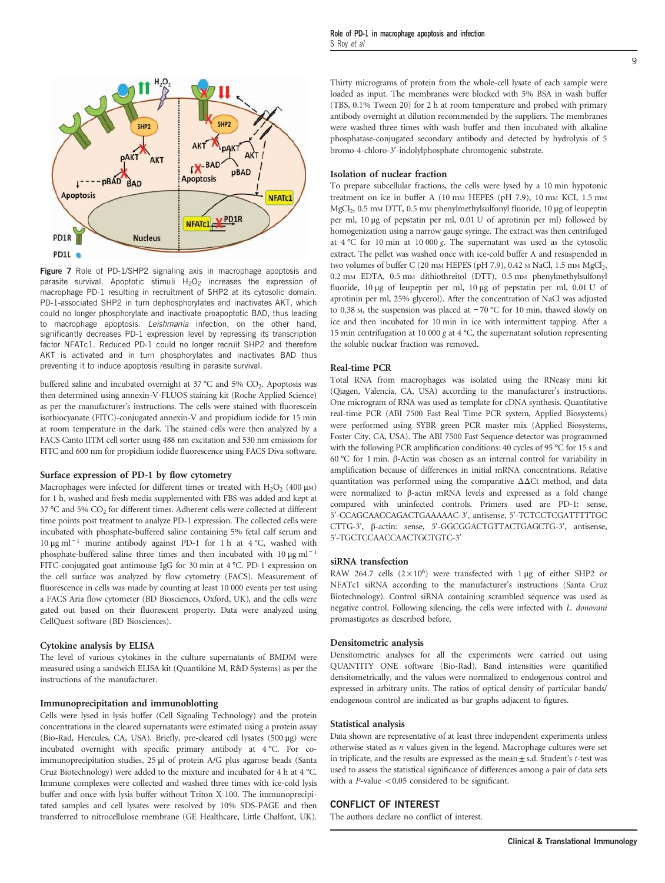

Figure 7 Role of PD-1/SHP2 signaling axis in macrophage apoptosis and parasite survival. Apoptotic stimuli  $H_2O_2$  increases the expression of macrophage PD-1 resulting in recruitment of SHP2 at its cytosolic domain. PD-1-associated SHP2 in turn dephosphorylates and inactivates AKT, which could no longer phosphorylate and inactivate proapoptotic BAD, thus leading to macrophage apoptosis. Leishmania infection, on the other hand, significantly decreases PD-1 expression level by repressing its transcription factor NFATc1. Reduced PD-1 could no longer recruit SHP2 and therefore AKT is activated and in turn phosphorylates and inactivates BAD thus preventing it to induce apoptosis resulting in parasite survival.

buffered saline and incubated overnight at 37  $^{\circ}$ C and 5% CO<sub>2</sub>. Apoptosis was then determined using annexin-V-FLUOS staining kit (Roche Applied Science) as per the manufacturer's instructions. The cells were stained with fluorescein isothiocyanate (FITC)-conjugated annexin-V and propidium iodide for 15 min at room temperature in the dark. The stained cells were then analyzed by a FACS Canto IITM cell sorter using 488 nm excitation and 530 nm emissions for FITC and 600 nm for propidium iodide fluorescence using FACS Diva software.

#### Surface expression of PD-1 by flow cytometry

Macrophages were infected for different times or treated with  $\text{H}_{2}\text{O}_{2}$  (400  $\mu$ m) for 1 h, washed and fresh media supplemented with FBS was added and kept at 37 °C and 5%  $CO<sub>2</sub>$  for different times. Adherent cells were collected at different time points post treatment to analyze PD-1 expression. The collected cells were incubated with phosphate-buffered saline containing 5% fetal calf serum and 10 μg ml<sup>-1</sup> murine antibody against PD-1 for 1 h at 4 °C, washed with phosphate-buffered saline three times and then incubated with 10 μg ml<sup>-1</sup> FITC-conjugated goat antimouse IgG for 30 min at 4 °C. PD-1 expression on the cell surface was analyzed by flow cytometry (FACS). Measurement of fluorescence in cells was made by counting at least 10 000 events per test using a FACS Aria flow cytometer (BD Biosciences, Oxford, UK), and the cells were gated out based on their fluorescent property. Data were analyzed using CellQuest software (BD Biosciences).

#### Cytokine analysis by ELISA

The level of various cytokines in the culture supernatants of BMDM were measured using a sandwich ELISA kit (Quantikine M, R&D Systems) as per the instructions of the manufacturer.

#### Immunoprecipitation and immunoblotting

Cells were lysed in lysis buffer (Cell Signaling Technology) and the protein concentrations in the cleared supernatants were estimated using a protein assay (Bio-Rad, Hercules, CA, USA). Briefly, pre-cleared cell lysates (500 μg) were incubated overnight with specific primary antibody at 4 °C. For coimmunoprecipitation studies, 25 μl of protein A/G plus agarose beads (Santa Cruz Biotechnology) were added to the mixture and incubated for 4 h at 4 °C. Immune complexes were collected and washed three times with ice-cold lysis buffer and once with lysis buffer without Triton X-100. The immunoprecipitated samples and cell lysates were resolved by 10% SDS-PAGE and then transferred to nitrocellulose membrane (GE Healthcare, Little Chalfont, UK). Thirty micrograms of protein from the whole-cell lysate of each sample were loaded as input. The membranes were blocked with 5% BSA in wash buffer (TBS, 0.1% Tween 20) for 2 h at room temperature and probed with primary antibody overnight at dilution recommended by the suppliers. The membranes were washed three times with wash buffer and then incubated with alkaline phosphatase-conjugated secondary antibody and detected by hydrolysis of 5 bromo-4-chloro-3′-indolylphosphate chromogenic substrate.

#### Isolation of nuclear fraction

To prepare subcellular fractions, the cells were lysed by a 10 min hypotonic treatment on ice in buffer A (10 mm HEPES (pH 7.9), 10 mm KCI, 1.5 mm MgCl<sub>2</sub>, 0.5 mM DTT, 0.5 mM phenylmethylsulfonyl fluoride, 10 μg of leupeptin per ml, 10 μg of pepstatin per ml, 0.01 U of aprotinin per ml) followed by homogenization using a narrow gauge syringe. The extract was then centrifuged at 4 °C for 10 min at 10 000 *g*. The supernatant was used as the cytosolic extract. The pellet was washed once with ice-cold buffer A and resuspended in two volumes of buffer C (20 mm HEPES (pH 7.9), 0.42 m NaCl, 1.5 mm MgCl<sub>2</sub>, 0.2 mm EDTA, 0.5 mm dithiothreitol (DTT), 0.5 mm phenylmethylsulfonyl fluoride, 10 μg of leupeptin per ml, 10 μg of pepstatin per ml, 0.01 U of aprotinin per ml, 25% glycerol). After the concentration of NaCl was adjusted to 0.38 <sup>M</sup>, the suspension was placed at − 70 °C for 10 min, thawed slowly on ice and then incubated for 10 min in ice with intermittent tapping. After a 15 min centrifugation at 10 000 *g* at 4 °C, the supernatant solution representing the soluble nuclear fraction was removed.

#### Real-time PCR

Total RNA from macrophages was isolated using the RNeasy mini kit (Qiagen, Valencia, CA, USA) according to the manufacturer's instructions. One microgram of RNA was used as template for cDNA synthesis. Quantitative real-time PCR (ABI 7500 Fast Real Time PCR system, Applied Biosystems) were performed using SYBR green PCR master mix (Applied Biosystems, Foster City, CA, USA). The ABI 7500 Fast Sequence detector was programmed with the following PCR amplification conditions: 40 cycles of 95 °C for 15 s and 60 °C for 1 min. β-Actin was chosen as an internal control for variability in amplification because of differences in initial mRNA concentrations. Relative quantitation was performed using the comparative ΔΔCt method, and data were normalized to β-actin mRNA levels and expressed as a fold change compared with uninfected controls. Primers used are PD-1: sense, 5′-CCAGCAACCAGACTGAAAAAC-3′, antisense, 5′-TCTCCTCGATTTTTGC CTTG-3′, β-actin: sense, 5′-GGCGGACTGTTACTGAGCTG-3′, antisense, 5′-TGCTCCAACCAACTGCTGTC-3′

#### siRNA transfection

RAW 264.7 cells  $(2 \times 10^6)$  were transfected with 1 µg of either SHP2 or NFATc1 siRNA according to the manufacturer's instructions (Santa Cruz Biotechnology). Control siRNA containing scrambled sequence was used as negative control. Following silencing, the cells were infected with *L. donovani* promastigotes as described before.

#### Densitometric analysis

Densitometric analyses for all the experiments were carried out using QUANTITY ONE software (Bio-Rad). Band intensities were quantified densitometrically, and the values were normalized to endogenous control and expressed in arbitrary units. The ratios of optical density of particular bands/ endogenous control are indicated as bar graphs adjacent to figures.

#### Statistical analysis

Data shown are representative of at least three independent experiments unless otherwise stated as *n* values given in the legend. Macrophage cultures were set in triplicate, and the results are expressed as the mean $\pm$  s.d. Student's *t*-test was used to assess the statistical significance of differences among a pair of data sets with a  $P$ -value  $< 0.05$  considered to be significant.

## CONFLICT OF INTEREST

The authors declare no conflict of interest.